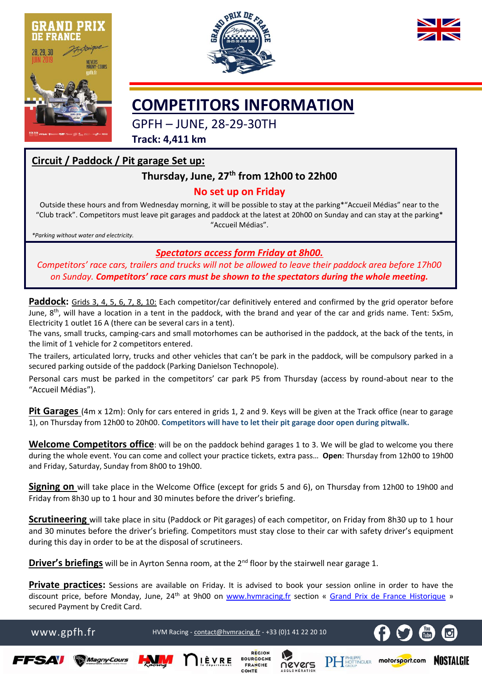





# **COMPETITORS INFORMATION**

GPFH – JUNE, 28-29-30TH

**Track: 4,411 km**

## **Circuit / Paddock / Pit garage Set up:**

## **Thursday, June, 27th from 12h00 to 22h00**

### **No set up on Friday**

Outside these hours and from Wednesday morning, it will be possible to stay at the parking\*"Accueil Médias" near to the "Club track". Competitors must leave pit garages and paddock at the latest at 20h00 on Sunday and can stay at the parking\* "Accueil Médias".

*\*Parking without water and electricity.*

### *Spectators access form Friday at 8h00.*

*Competitors' race cars, trailers and trucks will not be allowed to leave their paddock area before 17h00 on Sunday. Competitors' race cars must be shown to the spectators during the whole meeting.*

**Paddock:** Grids 3, 4, 5, 6, 7, 8, 10: Each competitor/car definitively entered and confirmed by the grid operator before June,  $8<sup>th</sup>$ , will have a location in a tent in the paddock, with the brand and year of the car and grids name. Tent: 5x5m, Electricity 1 outlet 16 A (there can be several cars in a tent).

The vans, small trucks, camping-cars and small motorhomes can be authorised in the paddock, at the back of the tents, in the limit of 1 vehicle for 2 competitors entered.

The trailers, articulated lorry, trucks and other vehicles that can't be park in the paddock, will be compulsory parked in a secured parking outside of the paddock (Parking Danielson Technopole).

Personal cars must be parked in the competitors' car park P5 from Thursday (access by round-about near to the "Accueil Médias").

**Pit Garages** (4m x 12m): Only for cars entered in grids 1, 2 and 9. Keys will be given at the Track office (near to garage 1), on Thursday from 12h00 to 20h00. **Competitors will have to let their pit garage door open during pitwalk.**

**Welcome Competitors office**: will be on the paddock behind garages 1 to 3. We will be glad to welcome you there during the whole event. You can come and collect your practice tickets, extra pass… **Open**: Thursday from 12h00 to 19h00 and Friday, Saturday, Sunday from 8h00 to 19h00.

**Signing on** will take place in the Welcome Office (except for grids 5 and 6), on Thursday from 12h00 to 19h00 and Friday from 8h30 up to 1 hour and 30 minutes before the driver's briefing.

**Scrutineering** will take place in situ (Paddock or Pit garages) of each competitor, on Friday from 8h30 up to 1 hour and 30 minutes before the driver's briefing. Competitors must stay close to their car with safety driver's equipment during this day in order to be at the disposal of scrutineers.

**Driver's briefings** will be in Ayrton Senna room, at the 2<sup>nd</sup> floor by the stairwell near garage 1.

**Private practices:** Sessions are available on Friday. It is advised to book your session online in order to have the discount price, before Monday, June, 24th at 9h00 on [www.hvmracing.fr](http://www.hvmracing.fr/) section « [Grand Prix de France Historique](https://www.hvmracing.fr/evenements/grand-prix-de-france-historique/gpfh-presentation/) » secured Payment by Credit Card.

 $www.gpfh.fr$   $HVM$  Racing -  $contact@hvmracing.fr$  $contact@hvmracing.fr$  $contact@hvmracing.fr$  - +33 (0)1 41 22 20 10</u>  $\Xi$ Nevers PHEOTINGUER motorsport.com NOSTALGIE FFSAV **BOURGOGNE** Magny-Cours **IIÈVRE** 

**FRANCHE** COMTE